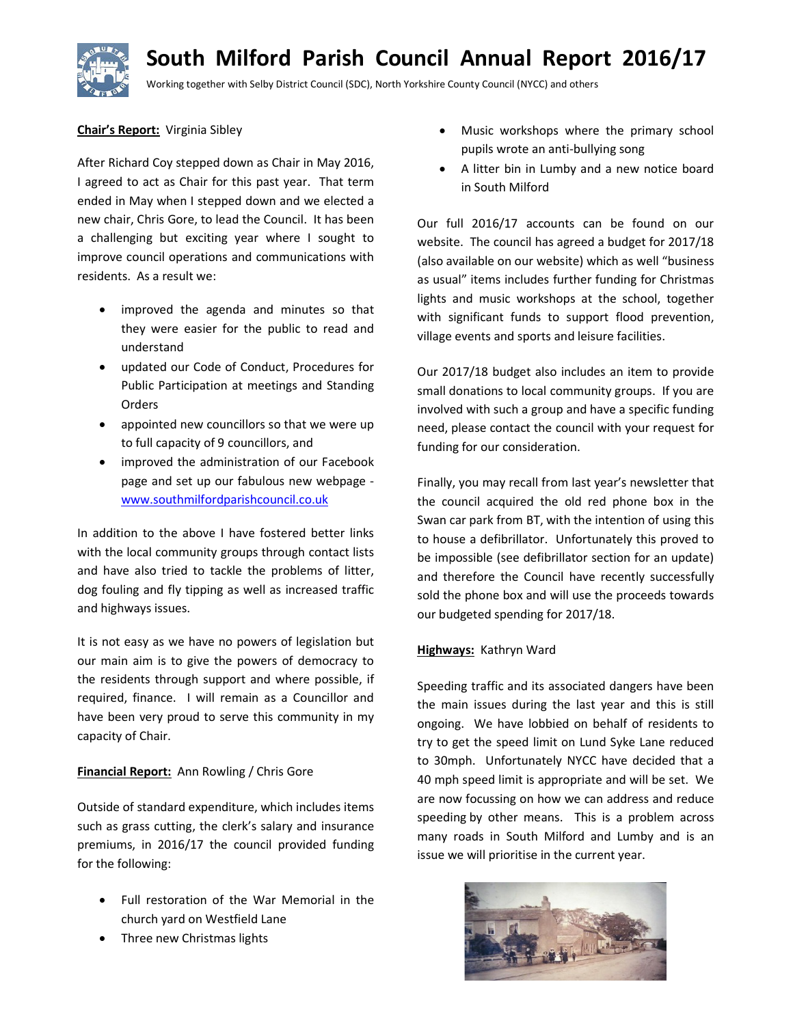# South Milford Parish Council Annual Report 2016/17



Working together with Selby District Council (SDC), North Yorkshire County Council (NYCC) and others

# Chair's Report: Virginia Sibley

After Richard Coy stepped down as Chair in May 2016, I agreed to act as Chair for this past year. That term ended in May when I stepped down and we elected a new chair, Chris Gore, to lead the Council. It has been a challenging but exciting year where I sought to improve council operations and communications with residents. As a result we:

- improved the agenda and minutes so that they were easier for the public to read and understand
- updated our Code of Conduct, Procedures for Public Participation at meetings and Standing Orders
- appointed new councillors so that we were up to full capacity of 9 councillors, and
- improved the administration of our Facebook page and set up our fabulous new webpage www.southmilfordparishcouncil.co.uk

In addition to the above I have fostered better links with the local community groups through contact lists and have also tried to tackle the problems of litter, dog fouling and fly tipping as well as increased traffic and highways issues.

It is not easy as we have no powers of legislation but our main aim is to give the powers of democracy to the residents through support and where possible, if required, finance. I will remain as a Councillor and have been very proud to serve this community in my capacity of Chair.

# Financial Report: Ann Rowling / Chris Gore

Outside of standard expenditure, which includes items such as grass cutting, the clerk's salary and insurance premiums, in 2016/17 the council provided funding for the following:

- Full restoration of the War Memorial in the church yard on Westfield Lane
- Three new Christmas lights
- Music workshops where the primary school pupils wrote an anti-bullying song
- A litter bin in Lumby and a new notice board in South Milford

Our full 2016/17 accounts can be found on our website. The council has agreed a budget for 2017/18 (also available on our website) which as well "business as usual" items includes further funding for Christmas lights and music workshops at the school, together with significant funds to support flood prevention, village events and sports and leisure facilities.

Our 2017/18 budget also includes an item to provide small donations to local community groups. If you are involved with such a group and have a specific funding need, please contact the council with your request for funding for our consideration.

Finally, you may recall from last year's newsletter that the council acquired the old red phone box in the Swan car park from BT, with the intention of using this to house a defibrillator. Unfortunately this proved to be impossible (see defibrillator section for an update) and therefore the Council have recently successfully sold the phone box and will use the proceeds towards our budgeted spending for 2017/18.

# Highways: Kathryn Ward

Speeding traffic and its associated dangers have been the main issues during the last year and this is still ongoing. We have lobbied on behalf of residents to try to get the speed limit on Lund Syke Lane reduced to 30mph. Unfortunately NYCC have decided that a 40 mph speed limit is appropriate and will be set. We are now focussing on how we can address and reduce speeding by other means. This is a problem across many roads in South Milford and Lumby and is an issue we will prioritise in the current year.

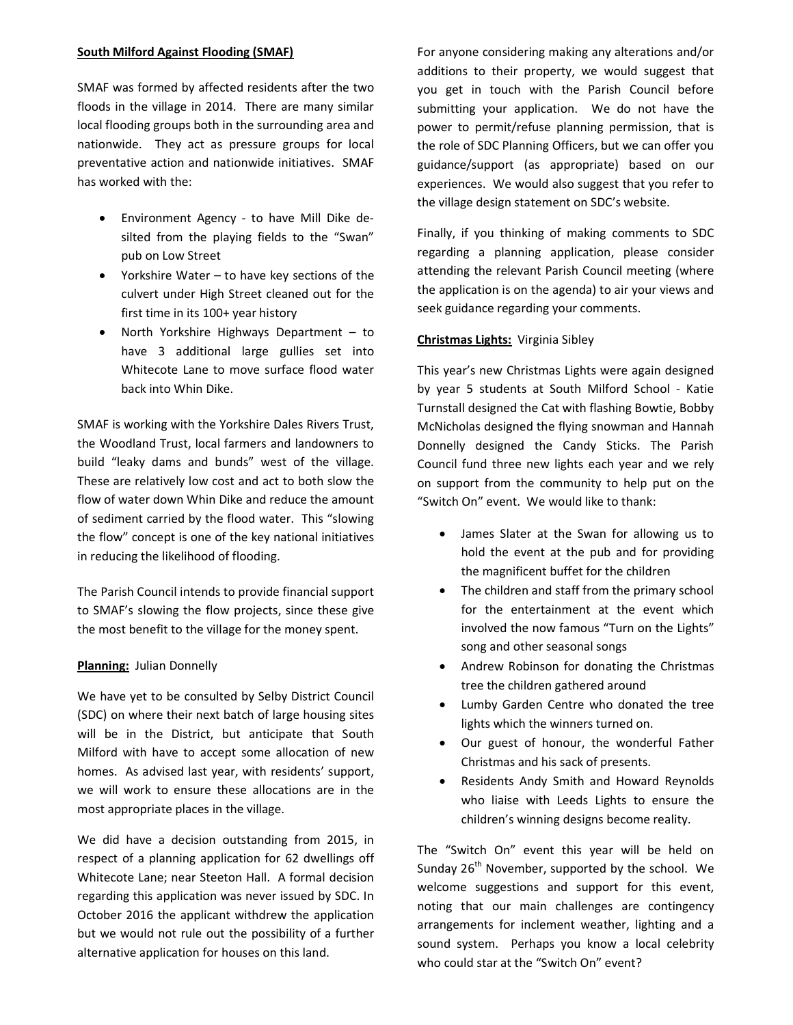# South Milford Against Flooding (SMAF)

SMAF was formed by affected residents after the two floods in the village in 2014. There are many similar local flooding groups both in the surrounding area and nationwide. They act as pressure groups for local preventative action and nationwide initiatives. SMAF has worked with the:

- Environment Agency to have Mill Dike desilted from the playing fields to the "Swan" pub on Low Street
- Yorkshire Water to have key sections of the culvert under High Street cleaned out for the first time in its 100+ year history
- North Yorkshire Highways Department  $-$  to have 3 additional large gullies set into Whitecote Lane to move surface flood water back into Whin Dike.

SMAF is working with the Yorkshire Dales Rivers Trust, the Woodland Trust, local farmers and landowners to build "leaky dams and bunds" west of the village. These are relatively low cost and act to both slow the flow of water down Whin Dike and reduce the amount of sediment carried by the flood water. This "slowing the flow" concept is one of the key national initiatives in reducing the likelihood of flooding.

The Parish Council intends to provide financial support to SMAF's slowing the flow projects, since these give the most benefit to the village for the money spent.

# Planning: Julian Donnelly

We have yet to be consulted by Selby District Council (SDC) on where their next batch of large housing sites will be in the District, but anticipate that South Milford with have to accept some allocation of new homes. As advised last year, with residents' support, we will work to ensure these allocations are in the most appropriate places in the village.

We did have a decision outstanding from 2015, in respect of a planning application for 62 dwellings off Whitecote Lane; near Steeton Hall. A formal decision regarding this application was never issued by SDC. In October 2016 the applicant withdrew the application but we would not rule out the possibility of a further alternative application for houses on this land.

For anyone considering making any alterations and/or additions to their property, we would suggest that you get in touch with the Parish Council before submitting your application. We do not have the power to permit/refuse planning permission, that is the role of SDC Planning Officers, but we can offer you guidance/support (as appropriate) based on our experiences. We would also suggest that you refer to the village design statement on SDC's website.

Finally, if you thinking of making comments to SDC regarding a planning application, please consider attending the relevant Parish Council meeting (where the application is on the agenda) to air your views and seek guidance regarding your comments.

# Christmas Lights: Virginia Sibley

This year's new Christmas Lights were again designed by year 5 students at South Milford School - Katie Turnstall designed the Cat with flashing Bowtie, Bobby McNicholas designed the flying snowman and Hannah Donnelly designed the Candy Sticks. The Parish Council fund three new lights each year and we rely on support from the community to help put on the "Switch On" event. We would like to thank:

- James Slater at the Swan for allowing us to hold the event at the pub and for providing the magnificent buffet for the children
- The children and staff from the primary school for the entertainment at the event which involved the now famous "Turn on the Lights" song and other seasonal songs
- Andrew Robinson for donating the Christmas tree the children gathered around
- Lumby Garden Centre who donated the tree lights which the winners turned on.
- Our guest of honour, the wonderful Father Christmas and his sack of presents.
- Residents Andy Smith and Howard Reynolds who liaise with Leeds Lights to ensure the children's winning designs become reality.

The "Switch On" event this year will be held on Sunday  $26<sup>th</sup>$  November, supported by the school. We welcome suggestions and support for this event, noting that our main challenges are contingency arrangements for inclement weather, lighting and a sound system. Perhaps you know a local celebrity who could star at the "Switch On" event?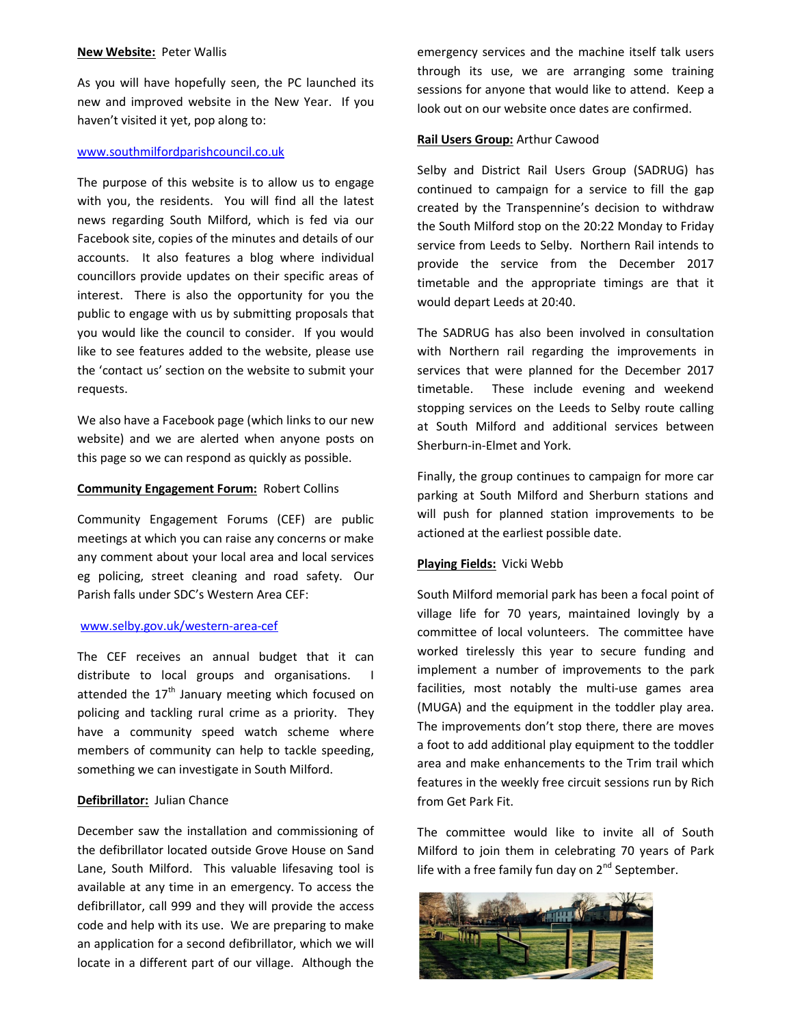## New Website: Peter Wallis

As you will have hopefully seen, the PC launched its new and improved website in the New Year. If you haven't visited it yet, pop along to:

# www.southmilfordparishcouncil.co.uk

The purpose of this website is to allow us to engage with you, the residents. You will find all the latest news regarding South Milford, which is fed via our Facebook site, copies of the minutes and details of our accounts. It also features a blog where individual councillors provide updates on their specific areas of interest. There is also the opportunity for you the public to engage with us by submitting proposals that you would like the council to consider. If you would like to see features added to the website, please use the 'contact us' section on the website to submit your requests.

We also have a Facebook page (which links to our new website) and we are alerted when anyone posts on this page so we can respond as quickly as possible.

## **Community Engagement Forum: Robert Collins**

Community Engagement Forums (CEF) are public meetings at which you can raise any concerns or make any comment about your local area and local services eg policing, street cleaning and road safety. Our Parish falls under SDC's Western Area CEF:

## www.selby.gov.uk/western-area-cef

The CEF receives an annual budget that it can distribute to local groups and organisations. I attended the  $17<sup>th</sup>$  January meeting which focused on policing and tackling rural crime as a priority. They have a community speed watch scheme where members of community can help to tackle speeding, something we can investigate in South Milford.

## Defibrillator: Julian Chance

December saw the installation and commissioning of the defibrillator located outside Grove House on Sand Lane, South Milford. This valuable lifesaving tool is available at any time in an emergency. To access the defibrillator, call 999 and they will provide the access code and help with its use. We are preparing to make an application for a second defibrillator, which we will locate in a different part of our village. Although the

emergency services and the machine itself talk users through its use, we are arranging some training sessions for anyone that would like to attend. Keep a look out on our website once dates are confirmed.

## Rail Users Group: Arthur Cawood

Selby and District Rail Users Group (SADRUG) has continued to campaign for a service to fill the gap created by the Transpennine's decision to withdraw the South Milford stop on the 20:22 Monday to Friday service from Leeds to Selby. Northern Rail intends to provide the service from the December 2017 timetable and the appropriate timings are that it would depart Leeds at 20:40.

The SADRUG has also been involved in consultation with Northern rail regarding the improvements in services that were planned for the December 2017 timetable. These include evening and weekend stopping services on the Leeds to Selby route calling at South Milford and additional services between Sherburn-in-Elmet and York.

Finally, the group continues to campaign for more car parking at South Milford and Sherburn stations and will push for planned station improvements to be actioned at the earliest possible date.

## Playing Fields: Vicki Webb

South Milford memorial park has been a focal point of village life for 70 years, maintained lovingly by a committee of local volunteers. The committee have worked tirelessly this year to secure funding and implement a number of improvements to the park facilities, most notably the multi-use games area (MUGA) and the equipment in the toddler play area. The improvements don't stop there, there are moves a foot to add additional play equipment to the toddler area and make enhancements to the Trim trail which features in the weekly free circuit sessions run by Rich from Get Park Fit.

The committee would like to invite all of South Milford to join them in celebrating 70 years of Park life with a free family fun day on 2<sup>nd</sup> September.